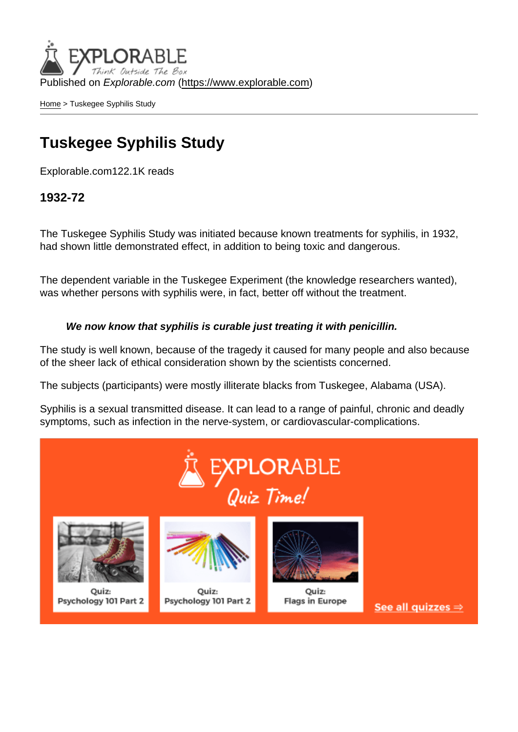Published on Explorable.com (<https://www.explorable.com>)

[Home](https://www.explorable.com/) > Tuskegee Syphilis Study

## Tuskegee Syphilis Study

Explorable.com122.1K reads

1932-72

The Tuskegee Syphilis Study was initiated because known treatments for syphilis, in 1932, had shown little demonstrated effect, in addition to being toxic and dangerous.

The dependent variable in the Tuskegee Experiment (the knowledge researchers wanted), was whether persons with syphilis were, in fact, better off without the treatment.

We now know that syphilis is curable just treating it with penicillin.

The study is well known, because of the tragedy it caused for many people and also because of the sheer lack of ethical consideration shown by the scientists concerned.

The subjects (participants) were mostly illiterate blacks from Tuskegee, Alabama (USA).

Syphilis is a sexual transmitted disease. It can lead to a range of painful, chronic and deadly symptoms, such as infection in the nerve-system, or cardiovascular-complications.